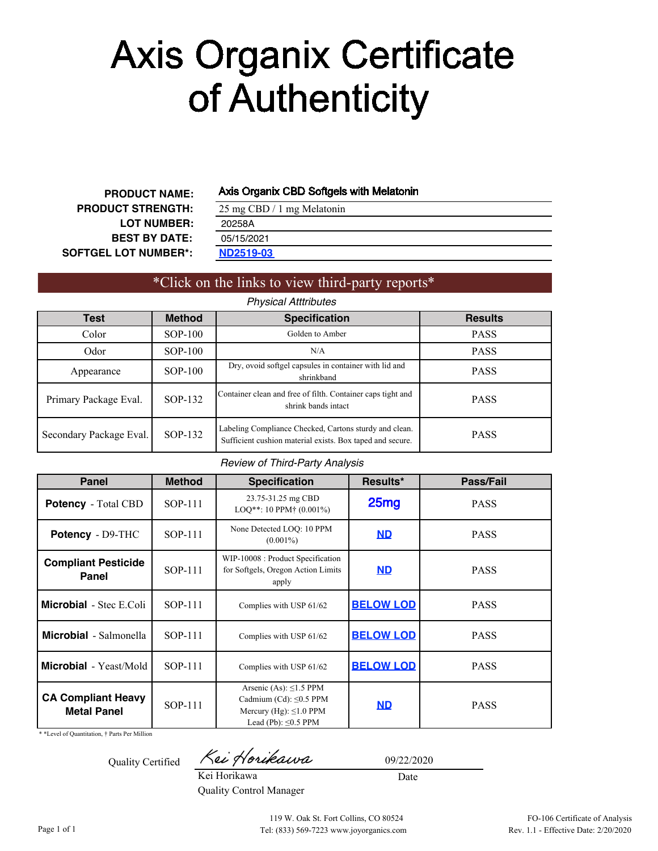# Ayis Organix Gertifiqates

### **CERTIFICATE ANALYSIS** D F

Axis Organix CBD Softgels with Melatonin

**PRODUCT NAME: PRODUCT STRENGTH: LOT NUMBER: BEST BY DATE: SOFTGEL LOT NUMBER\*:**

25 mg CBD / 1 mg Melatonin **[ND2519-03](#page-1-0)** 202[58A](#page-2-0) 05/15/2021

## \*Click on the links to view third-party reports\*

*Physical Atttributes*

| Test                    | <b>Method</b> | <b>Specification</b>                                                                                                | <b>Results</b> |
|-------------------------|---------------|---------------------------------------------------------------------------------------------------------------------|----------------|
| Color                   | $SOP-100$     | Golden to Amber                                                                                                     | <b>PASS</b>    |
| Odor                    | $SOP-100$     | N/A                                                                                                                 | <b>PASS</b>    |
| Appearance              | $SOP-100$     | Dry, ovoid softgel capsules in container with lid and<br>shrinkband                                                 | <b>PASS</b>    |
| Primary Package Eval.   | SOP-132       | Container clean and free of filth. Container caps tight and<br>shrink bands intact                                  | <b>PASS</b>    |
| Secondary Package Eval. | SOP-132       | Labeling Compliance Checked, Cartons sturdy and clean.<br>Sufficient cushion material exists. Box taped and secure. | <b>PASS</b>    |

### *Review of Third-Party Analysis*

| Panel                                           | <b>Method</b> | <b>Specification</b>                                                                                                      | Results*         | Pass/Fail   |
|-------------------------------------------------|---------------|---------------------------------------------------------------------------------------------------------------------------|------------------|-------------|
| <b>Potency</b> - Total CBD                      | SOP-111       | 23.75-31.25 mg CBD<br>$LOQ^{**}$ : 10 PPM $\dagger$ (0.001%)                                                              | 25 <sub>mg</sub> | <b>PASS</b> |
| Potency - D9-THC                                | SOP-111       | None Detected LOO: 10 PPM<br>$(0.001\%)$                                                                                  | <b>ND</b>        |             |
| <b>Compliant Pesticide</b><br>Panel             | SOP-111       | WIP-10008 : Product Specification<br>for Softgels, Oregon Action Limits<br>apply                                          | <b>ND</b>        | <b>PASS</b> |
| <b>Microbial</b> - Stec E.Coli                  | SOP-111       | Complies with USP 61/62                                                                                                   | <b>BELOW LOD</b> | <b>PASS</b> |
| <b>Microbial</b> - Salmonella                   | SOP-111       | Complies with USP 61/62                                                                                                   | <b>BELOW LOD</b> | <b>PASS</b> |
| <b>Microbial</b> - Yeast/Mold                   | SOP-111       | Complies with USP 61/62                                                                                                   | <b>BELOW LOD</b> | <b>PASS</b> |
| <b>CA Compliant Heavy</b><br><b>Metal Panel</b> | SOP-111       | Arsenic (As): $\leq$ 1.5 PPM<br>Cadmium (Cd): $\leq$ 0.5 PPM<br>Mercury (Hg): $\leq$ 1.0 PPM<br>Lead (Pb): $\leq 0.5$ PPM | <b>ND</b>        | <b>PASS</b> |

\* \*Level of Quantitation, † Parts Per Million

Quality Certified

Kei Horikawa

09/22/2020

Date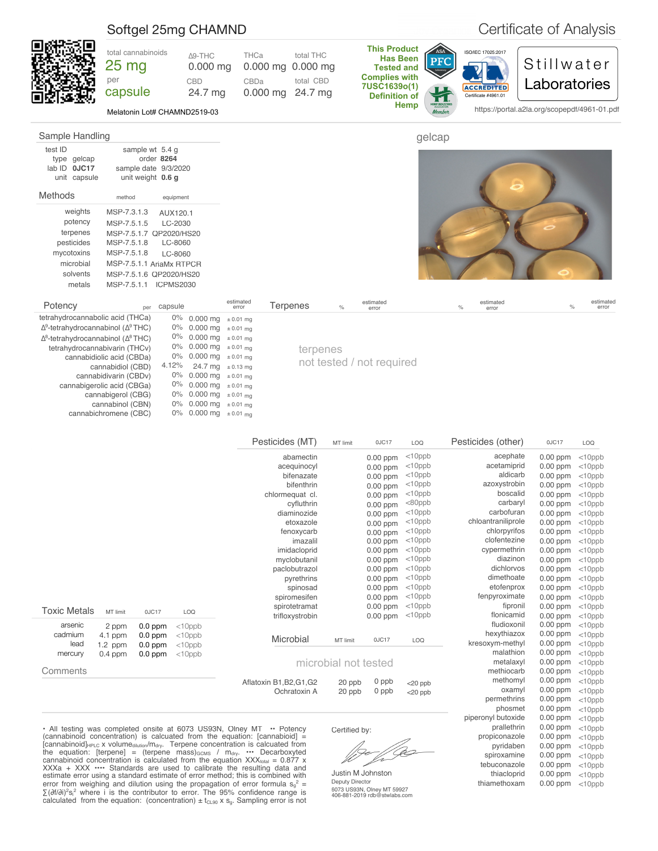<span id="page-1-0"></span>

|                                                        | Softgel 25mg CHAMND                                                           |             |                                        |                                |                          |                                                 |               |                                                                                                                                            |                   |                                                                 |                    | Certificate of Analysis                                                    |               |                    |
|--------------------------------------------------------|-------------------------------------------------------------------------------|-------------|----------------------------------------|--------------------------------|--------------------------|-------------------------------------------------|---------------|--------------------------------------------------------------------------------------------------------------------------------------------|-------------------|-----------------------------------------------------------------|--------------------|----------------------------------------------------------------------------|---------------|--------------------|
|                                                        | total cannabinoids<br>25 mg<br>per<br>capsule<br>Melatonin Lot# CHAMND2519-03 |             | Δ9-THC<br>$0.000$ mg<br>CBD<br>24.7 mg | THCa<br>CBDa                   | $0.000$ mg<br>$0.000$ mg | total THC<br>$0.000$ mg<br>total CBD<br>24.7 mg |               | <b>This Product</b><br><b>Has Been</b><br><b>Tested and</b><br><b>Complies with</b><br>7USC1639o(1)<br><b>Definition of</b><br><b>Hemp</b> | ASA<br><b>PFC</b> | ISO/IEC 17025:2017<br><b>ACCREDITED</b><br>Certificate #4961.01 |                    | Stillwater<br>Laboratories<br>https://portal.a2la.org/scopepdf/4961-01.pdf |               |                    |
| Sample Handling                                        |                                                                               |             |                                        |                                |                          |                                                 |               |                                                                                                                                            | gelcap            |                                                                 |                    |                                                                            |               |                    |
| test ID<br>type gelcap<br>lab ID 0JC17<br>unit capsule | sample wt 5.4 g<br>sample date 9/3/2020<br>unit weight 0.6 g                  | order 8264  |                                        |                                |                          |                                                 |               |                                                                                                                                            |                   |                                                                 |                    |                                                                            |               |                    |
| Methods                                                | method                                                                        | equipment   |                                        |                                |                          |                                                 |               |                                                                                                                                            |                   |                                                                 |                    |                                                                            |               |                    |
| weights                                                | MSP-7.3.1.3                                                                   | AUX120.1    |                                        |                                |                          |                                                 |               |                                                                                                                                            |                   |                                                                 |                    |                                                                            |               |                    |
| potency                                                | MSP-7.5.1.5                                                                   | LC-2030     |                                        |                                |                          |                                                 |               |                                                                                                                                            |                   |                                                                 |                    |                                                                            |               |                    |
| terpenes                                               | MSP-7.5.1.7 QP2020/HS20                                                       |             |                                        |                                |                          |                                                 |               |                                                                                                                                            |                   |                                                                 |                    |                                                                            |               |                    |
| pesticides                                             | MSP-7.5.1.8                                                                   | LC-8060     |                                        |                                |                          |                                                 |               |                                                                                                                                            |                   |                                                                 |                    |                                                                            |               |                    |
| mycotoxins                                             | MSP-7.5.1.8                                                                   | LC-8060     |                                        |                                |                          |                                                 |               |                                                                                                                                            |                   |                                                                 |                    |                                                                            |               |                    |
| microbial                                              | MSP-7.5.1.1 AriaMx RTPCR                                                      |             |                                        |                                |                          |                                                 |               |                                                                                                                                            |                   |                                                                 |                    |                                                                            |               |                    |
| solvents                                               | MSP-7.5.1.6 QP2020/HS20                                                       |             |                                        |                                |                          |                                                 |               |                                                                                                                                            |                   |                                                                 |                    |                                                                            |               |                    |
| metals                                                 | MSP-7.5.1.1 ICPMS2030                                                         |             |                                        |                                |                          |                                                 |               |                                                                                                                                            |                   |                                                                 |                    |                                                                            |               |                    |
| Potency                                                | per                                                                           | capsule     |                                        | estimated<br>error             | <b>Terpenes</b>          |                                                 | $\frac{1}{2}$ | estimated<br>error                                                                                                                         |                   | $\%$                                                            | estimated<br>error |                                                                            | $\frac{1}{2}$ | estimated<br>error |
| tetrahydrocannabolic acid (THCa)                       |                                                                               |             | 0% 0.000 mg                            | $\pm 0.01$ mg                  |                          |                                                 |               |                                                                                                                                            |                   |                                                                 |                    |                                                                            |               |                    |
| $\Delta^9$ -tetrahydrocannabinol ( $\Delta^9$ THC)     |                                                                               |             | 0% 0.000 mg                            | $\pm 0.01$ mg                  |                          |                                                 |               |                                                                                                                                            |                   |                                                                 |                    |                                                                            |               |                    |
| $\Delta^8$ -tetrahydrocannabinol ( $\Delta^8$ THC)     |                                                                               | 0%          | 0.000 mg                               | $\pm 0.01$ mg                  |                          |                                                 |               |                                                                                                                                            |                   |                                                                 |                    |                                                                            |               |                    |
| tetrahydrocannabivarin (THCv)                          |                                                                               | $0\%$       | 0.000 mg                               | $\pm 0.01$ mg                  |                          | terpenes                                        |               |                                                                                                                                            |                   |                                                                 |                    |                                                                            |               |                    |
|                                                        | cannabidiolic acid (CBDa)                                                     |             | 0% 0.000 mg                            | $\pm 0.01$ mg                  |                          |                                                 |               | not tested / not required                                                                                                                  |                   |                                                                 |                    |                                                                            |               |                    |
|                                                        | cannabidiol (CBD)                                                             | 4.12%<br>0% | 24.7 mg                                | $\pm$ 0.13 mg                  |                          |                                                 |               |                                                                                                                                            |                   |                                                                 |                    |                                                                            |               |                    |
|                                                        | cannabidivarin (CBDv)<br>cannabigerolic acid (CBGa)                           | 0%          | $0.000$ mg<br>0.000 mg                 | $\pm$ 0.01 mg<br>$\pm 0.01$ mg |                          |                                                 |               |                                                                                                                                            |                   |                                                                 |                    |                                                                            |               |                    |
|                                                        | cannabigerol (CBG)                                                            |             | 0% 0.000 mg ± 0.01 mg                  |                                |                          |                                                 |               |                                                                                                                                            |                   |                                                                 |                    |                                                                            |               |                    |

|                     |           |           |                                                            | Pesticides (MT)                                                             | MT limit             | 0JC17      | LOQ        | Pesticides (other) | 0JC17      | LOQ       |
|---------------------|-----------|-----------|------------------------------------------------------------|-----------------------------------------------------------------------------|----------------------|------------|------------|--------------------|------------|-----------|
|                     |           |           |                                                            | abamectin                                                                   |                      | 0.00 ppm   | $<$ 10ppb  | acephate           | 0.00 ppm   | $<$ 10ppb |
|                     |           |           |                                                            | aceguinocyl                                                                 |                      | $0.00$ ppm | $<$ 10ppb  | acetamiprid        | 0.00 ppm   | $<$ 10ppb |
|                     |           |           |                                                            | bifenazate                                                                  |                      | 0.00 ppm   | $<$ 10ppb  | aldicarb           | 0.00 ppm   | $<$ 10ppb |
|                     |           |           |                                                            | bifenthrin                                                                  |                      | $0.00$ ppm | $<$ 10ppb  | azoxystrobin       | $0.00$ ppm | $<$ 10ppb |
|                     |           |           |                                                            | chlormequat cl.                                                             |                      | $0.00$ ppm | $<$ 10ppb  | boscalid           | $0.00$ ppm | $<$ 10ppb |
|                     |           |           |                                                            | cyfluthrin                                                                  |                      | 0.00 ppm   | $80ppb$    | carbaryl           | $0.00$ ppm | $<$ 10ppb |
|                     |           |           |                                                            | diaminozide                                                                 |                      | 0.00 ppm   | $<$ 10ppb  | carbofuran         | $0.00$ ppm | $<$ 10ppb |
|                     |           |           |                                                            | etoxazole                                                                   |                      | $0.00$ ppm | $<$ 10ppb  | chloantraniliprole | 0.00 ppm   | $<$ 10ppb |
|                     |           |           |                                                            | fenoxycarb                                                                  |                      | 0.00 ppm   | $<$ 10ppb  | chlorpyrifos       | $0.00$ ppm | $<$ 10ppb |
|                     |           |           |                                                            | imazalil                                                                    |                      | $0.00$ ppm | $<$ 10ppb  | clofentezine       | 0.00 ppm   | $<$ 10ppb |
|                     |           |           |                                                            | imidacloprid                                                                |                      | $0.00$ ppm | $<$ 10ppb  | cypermethrin       | $0.00$ ppm | $<$ 10ppb |
|                     |           |           |                                                            | myclobutanil                                                                |                      | $0.00$ ppm | $<$ 10ppb  | diazinon           | $0.00$ ppm | $<$ 10ppb |
|                     |           |           |                                                            | paclobutrazol                                                               |                      | 0.00 ppm   | $<$ 10ppb  | dichlorvos         | 0.00 ppm   | $<$ 10ppb |
|                     |           |           |                                                            | pyrethrins                                                                  |                      | $0.00$ ppm | $<$ 10ppb  | dimethoate         | $0.00$ ppm | $<$ 10ppb |
|                     |           |           |                                                            | spinosad                                                                    |                      | $0.00$ ppm | $<$ 10ppb  | etofenprox         | 0.00 ppm   | $<$ 10ppb |
|                     |           |           |                                                            | spiromesifen                                                                |                      | $0.00$ ppm | $<$ 10ppb  | fenpyroximate      | 0.00 ppm   | $<$ 10ppb |
| <b>Toxic Metals</b> |           |           |                                                            | spirotetramat                                                               |                      | $0.00$ ppm | $<$ 10ppb  | fipronil           | $0.00$ ppm | $<$ 10ppb |
|                     | MT limit  | 0JC17     | LOQ                                                        | trifloxystrobin                                                             |                      | $0.00$ ppm | $<$ 10ppb  | flonicamid         | 0.00 ppm   | $<$ 10ppb |
| arsenic             | 2 ppm     | $0.0$ ppm | $<$ 10 $ppb$                                               |                                                                             |                      |            |            | fludioxonil        | $0.00$ ppm | $<$ 10ppb |
| cadmium             | 4.1 ppm   | $0.0$ ppm | $<$ 10 $ppb$                                               | Microbial                                                                   |                      |            |            | hexythiazox        | $0.00$ ppm | $<$ 10ppb |
| lead                | $1.2$ ppm | $0.0$ ppm | $<$ 10ppb                                                  |                                                                             | MT limit             | 0JC17      | LOQ        | kresoxym-methyl    | $0.00$ ppm | $<$ 10ppb |
| mercury             | $0.4$ ppm | $0.0$ ppm | $<$ 10 $ppb$                                               |                                                                             |                      |            |            | malathion          | 0.00 ppm   | $<$ 10ppb |
|                     |           |           |                                                            |                                                                             | microbial not tested |            |            | metalaxyl          | $0.00$ ppm | $<$ 10ppb |
| Comments            |           |           |                                                            |                                                                             |                      |            |            | methiocarb         | $0.00$ ppm | $<$ 10ppb |
|                     |           |           |                                                            | Aflatoxin B1, B2, G1, G2                                                    | 20 ppb               | 0 ppb      | $<$ 20 ppb | methomyl           | 0.00 ppm   | $<$ 10ppb |
|                     |           |           |                                                            | Ochratoxin A                                                                | 20 ppb               | 0 ppb      | $<$ 20 ppb | oxamyl             | 0.00 ppm   | $<$ 10ppb |
|                     |           |           |                                                            |                                                                             |                      |            |            | permethrins        | $0.00$ ppm | $<$ 10ppb |
|                     |           |           |                                                            |                                                                             |                      |            |            | phosmet            | 0.00 ppm   | $<$ 10ppb |
|                     |           |           |                                                            |                                                                             |                      |            |            | piperonyl butoxide | 0.00 ppm   | $<$ 10ppb |
|                     |           |           | • All testing was completed onsite at 6073 US93N, Olney MT | • Potency                                                                   | Certified by:        |            |            | prallethrin        | 0.00 ppm   | $<$ 10ppb |
|                     |           |           |                                                            | (cannabinoid concentration) is calcuated from the equation: $[canonical] =$ |                      |            | -2         | propiconazole      | $0.00$ ppm | $<$ 10ppb |

(cannabinoid concentration) is calcuated from the equation: [cannabioid]  $=$ [cannabinoid] $_{\text{HPLC}}$  x volume<sub>dilution</sub>/m<sub>dry</sub>. Terpene concentration is calcuated from the equation: [terpene] = (terpene mass) $_{GCMS}$  /  $m_{dyn}$   $\cdots$  Decarboxyted cannabinoid concentration is calculated from the equation  $XXX_{total} = 0.877$  x XXXa + XXX •••• Standards are used to calibrate the resulting data and estimate error using a standard estimate of error method; this is combined with error from weighing and dilution using the propagation of error formula  $s_g^2$  = ∑(∂f/∂i)<sup>2</sup>s<sub>i</sub><sup>2</sup> where i is the contributor to error. The 95% confidence range is calculated from the equation: (concentration)  $\pm$  t<sub>CL90</sub> x s<sub>g</sub>. Sampling error is not

cannabinol (CBN) cannabichromene (CBC)

0% 0.000 mg ± 0.01 mg 0% 0.000 mg ± 0.01 mg

0% 0.000 mg ± 0.01 mg

= f O W<sup>I</sup>

pyridaben spiroxamine tebuconazole thiacloprid thiamethoxam  $0.00$  ppm  $<$ 10ppb  $0.00$  ppm  $<$ 10ppb  $0.00$  ppm  $<$ 10ppb  $0.00$  ppm  $<$ 10ppb  $0.00$  ppm  $<$ 10ppb

Justin M Johnston Deputy Director

6073 US93N, Olney MT 59927 406-881-2019 rdb@stwlabs.com